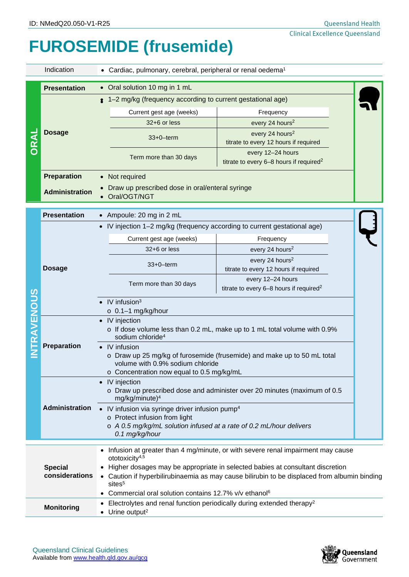## **FUROSEMIDE (frusemide)**

|                    | Indication<br>• Cardiac, pulmonary, cerebral, peripheral or renal oedema <sup>1</sup>                                                                                                                          |                                                                                                                                                                                                       |                                                                          |  |  |
|--------------------|----------------------------------------------------------------------------------------------------------------------------------------------------------------------------------------------------------------|-------------------------------------------------------------------------------------------------------------------------------------------------------------------------------------------------------|--------------------------------------------------------------------------|--|--|
|                    | <b>Presentation</b>                                                                                                                                                                                            | • Oral solution 10 mg in 1 mL<br><sup>2</sup> 1–2 mg/kg (frequency according to current gestational age)                                                                                              |                                                                          |  |  |
| <b>ORA</b>         | <b>Dosage</b>                                                                                                                                                                                                  | Current gest age (weeks)                                                                                                                                                                              | Frequency                                                                |  |  |
|                    |                                                                                                                                                                                                                | 32+6 or less                                                                                                                                                                                          | every 24 hours <sup>2</sup>                                              |  |  |
|                    |                                                                                                                                                                                                                | $33+0$ -term                                                                                                                                                                                          | every 24 hours <sup>2</sup><br>titrate to every 12 hours if required     |  |  |
|                    |                                                                                                                                                                                                                | Term more than 30 days                                                                                                                                                                                | every 12-24 hours<br>titrate to every 6-8 hours if required <sup>2</sup> |  |  |
|                    | <b>Preparation</b>                                                                                                                                                                                             | Not required                                                                                                                                                                                          |                                                                          |  |  |
|                    | <b>Administration</b>                                                                                                                                                                                          | Draw up prescribed dose in oral/enteral syringe<br>Oral/OGT/NGT                                                                                                                                       |                                                                          |  |  |
| <b>INTRAVENOUS</b> | <b>Presentation</b>                                                                                                                                                                                            | • Ampoule: 20 mg in 2 mL                                                                                                                                                                              |                                                                          |  |  |
|                    |                                                                                                                                                                                                                | • IV injection 1-2 mg/kg (frequency according to current gestational age)                                                                                                                             |                                                                          |  |  |
|                    | <b>Dosage</b>                                                                                                                                                                                                  | Current gest age (weeks)                                                                                                                                                                              | Frequency                                                                |  |  |
|                    |                                                                                                                                                                                                                | 32+6 or less                                                                                                                                                                                          | every 24 hours <sup>2</sup>                                              |  |  |
|                    |                                                                                                                                                                                                                | $33+0$ -term                                                                                                                                                                                          | every 24 hours <sup>2</sup><br>titrate to every 12 hours if required     |  |  |
|                    |                                                                                                                                                                                                                | Term more than 30 days                                                                                                                                                                                | every 12-24 hours<br>titrate to every 6-8 hours if required <sup>2</sup> |  |  |
|                    |                                                                                                                                                                                                                | $\bullet$ IV infusion <sup>3</sup><br>$\circ$ 0.1-1 mg/kg/hour                                                                                                                                        |                                                                          |  |  |
|                    | <b>Preparation</b>                                                                                                                                                                                             | • IV injection<br>o If dose volume less than 0.2 mL, make up to 1 mL total volume with 0.9%<br>sodium chloride <sup>4</sup>                                                                           |                                                                          |  |  |
|                    |                                                                                                                                                                                                                | IV infusion<br>o Draw up 25 mg/kg of furosemide (frusemide) and make up to 50 mL total<br>volume with 0.9% sodium chloride                                                                            |                                                                          |  |  |
|                    |                                                                                                                                                                                                                | o Concentration now equal to 0.5 mg/kg/mL                                                                                                                                                             |                                                                          |  |  |
|                    |                                                                                                                                                                                                                | • IV injection<br>o Draw up prescribed dose and administer over 20 minutes (maximum of 0.5<br>mg/kg/minute) <sup>4</sup>                                                                              |                                                                          |  |  |
|                    | <b>Administration</b><br>• IV infusion via syringe driver infusion pump <sup>4</sup><br>o Protect infusion from light<br>o A 0.5 mg/kg/mL solution infused at a rate of 0.2 mL/hour delivers<br>0.1 mg/kg/hour |                                                                                                                                                                                                       |                                                                          |  |  |
|                    |                                                                                                                                                                                                                | Infusion at greater than 4 mg/minute, or with severe renal impairment may cause                                                                                                                       |                                                                          |  |  |
|                    |                                                                                                                                                                                                                | ototoxicity <sup>4,5</sup>                                                                                                                                                                            |                                                                          |  |  |
|                    | <b>Special</b><br>considerations                                                                                                                                                                               | • Higher dosages may be appropriate in selected babies at consultant discretion<br>• Caution if hyperbilirubinaemia as may cause bilirubin to be displaced from albumin binding<br>sites <sup>5</sup> |                                                                          |  |  |
|                    |                                                                                                                                                                                                                | • Commercial oral solution contains 12.7% v/v ethanol <sup>6</sup>                                                                                                                                    |                                                                          |  |  |
|                    | <b>Monitoring</b>                                                                                                                                                                                              | Electrolytes and renal function periodically during extended therapy <sup>2</sup><br>• Urine output <sup>2</sup>                                                                                      |                                                                          |  |  |

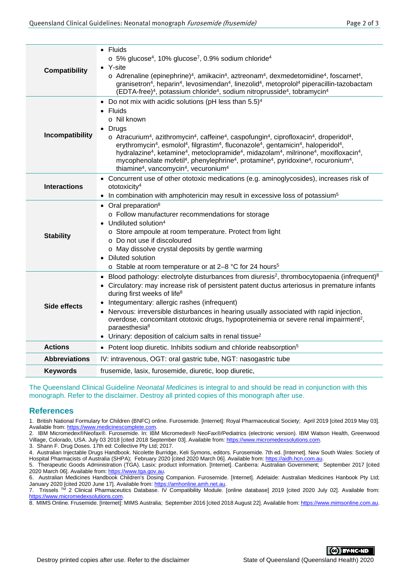| <b>Compatibility</b> | $\bullet$ Fluids<br>$\circ$ 5% glucose <sup>4</sup> , 10% glucose <sup>7</sup> , 0.9% sodium chloride <sup>4</sup><br>• Y-site<br>$\circ$ Adrenaline (epinephrine) <sup>4</sup> , amikacin <sup>4</sup> , aztreonam <sup>4</sup> , dexmedetomidine <sup>4</sup> , foscarnet <sup>4</sup> ,<br>granisetron <sup>4</sup> , heparin <sup>4</sup> , levosimendan <sup>4</sup> , linezolid <sup>4</sup> , metoprolol <sup>4</sup> piperacillin-tazobactam<br>(EDTA-free) <sup>4</sup> , potassium chloride <sup>4</sup> , sodium nitroprusside <sup>4</sup> , tobramycin <sup>4</sup>                                                                                                                                                                                                                                                                              |  |  |
|----------------------|---------------------------------------------------------------------------------------------------------------------------------------------------------------------------------------------------------------------------------------------------------------------------------------------------------------------------------------------------------------------------------------------------------------------------------------------------------------------------------------------------------------------------------------------------------------------------------------------------------------------------------------------------------------------------------------------------------------------------------------------------------------------------------------------------------------------------------------------------------------|--|--|
| Incompatibility      | • Do not mix with acidic solutions (pH less than $5.5$ ) <sup>4</sup><br>$\bullet$ Fluids<br>o Nil known<br>Drugs<br>$\circ$ Atracurium <sup>4</sup> , azithromycin <sup>4</sup> , caffeine <sup>4</sup> , caspofungin <sup>4</sup> , ciprofloxacin <sup>4</sup> , droperidol <sup>4</sup> ,<br>erythromycin <sup>4</sup> , esmolol <sup>4</sup> , filgrastim <sup>4</sup> , fluconazole <sup>4</sup> , gentamicin <sup>4</sup> , haloperidol <sup>4</sup> ,<br>hydralazine <sup>4</sup> , ketamine <sup>4</sup> , metoclopramide <sup>4</sup> , midazolam <sup>4</sup> , milrinone <sup>4</sup> , moxifloxacin <sup>4</sup> ,<br>mycophenolate mofetil <sup>4</sup> , phenylephrine <sup>4</sup> , protamine <sup>4</sup> , pyridoxine <sup>4</sup> , rocuronium <sup>4</sup> ,<br>thiamine <sup>4</sup> , vancomycin <sup>4</sup> , vecuronium <sup>4</sup> |  |  |
| <b>Interactions</b>  | • Concurrent use of other ototoxic medications (e.g. aminoglycosides), increases risk of<br>ototoxicity <sup>4</sup><br>• In combination with amphotericin may result in excessive loss of potassium <sup>5</sup>                                                                                                                                                                                                                                                                                                                                                                                                                                                                                                                                                                                                                                             |  |  |
| <b>Stability</b>     | • Oral preparation <sup>8</sup><br>o Follow manufacturer recommendations for storage<br>Undiluted solution <sup>4</sup><br>o Store ampoule at room temperature. Protect from light<br>o Do not use if discoloured<br>o May dissolve crystal deposits by gentle warming<br>Diluted solution<br>$\bullet$<br>o Stable at room temperature or at 2-8 °C for 24 hours <sup>5</sup>                                                                                                                                                                                                                                                                                                                                                                                                                                                                                |  |  |
| Side effects         | Blood pathology: electrolyte disturbances from diuresis <sup>2</sup> , thrombocytopaenia (infrequent) <sup>8</sup><br>$\bullet$<br>Circulatory: may increase risk of persistent patent ductus arteriosus in premature infants<br>during first weeks of life <sup>8</sup><br>Integumentary: allergic rashes (infrequent)<br>Nervous: irreversible disturbances in hearing usually associated with rapid injection,<br>overdose, concomitant ototoxic drugs, hypoproteinemia or severe renal impairment <sup>2</sup> ,<br>paraesthesia <sup>8</sup><br>Urinary: deposition of calcium salts in renal tissue <sup>2</sup>                                                                                                                                                                                                                                        |  |  |
| <b>Actions</b>       | • Potent loop diuretic. Inhibits sodium and chloride reabsorption <sup>5</sup>                                                                                                                                                                                                                                                                                                                                                                                                                                                                                                                                                                                                                                                                                                                                                                                |  |  |
| <b>Abbreviations</b> | IV: intravenous, OGT: oral gastric tube, NGT: nasogastric tube                                                                                                                                                                                                                                                                                                                                                                                                                                                                                                                                                                                                                                                                                                                                                                                                |  |  |
| <b>Keywords</b>      | frusemide, lasix, furosemide, diuretic, loop diuretic,                                                                                                                                                                                                                                                                                                                                                                                                                                                                                                                                                                                                                                                                                                                                                                                                        |  |  |

The Queensland Clinical Guideline *Neonatal Medicines* is integral to and should be read in conjunction with this monograph. Refer to the disclaimer. Destroy all printed copies of this monograph after use.

## **References**

1. British National Formulary for Children (BNFC) online. Furosemide. [Internet]: Royal Pharmaceutical Society; April 2019 [cited 2019 May 03]. Available from[: https://www.medicinescomplete.com.](https://www.medicinescomplete.com/)

2. IBM Micromedex®Neofax®. Furosemide. In: IBM Micromedex® NeoFax®/Pediatrics (electronic version). IBM Watson Health, Greenwood Village, Colorado, USA. July 03 2018 [cited 2018 September 03]. Available from: [https://www.micromedexsolutions.com.](https://www.micromedexsolutions.com/)

3. Shann F. Drug Doses. 17th ed: Collective Pty Ltd; 2017.

4. Australian Injectable Drugs Handbook. Nicolette Burridge, Keli Symons, editors. Furosemide. 7th ed. [Internet]. New South Wales: Society of Hospital Pharmacists of Australia (SHPA); February 2020 [cited 2020 March 06]. Available from[: https://aidh.hcn.com.au.](https://aidh.hcn.com.au/)

5. Therapeutic Goods Administration (TGA). Lasix: product information. [Internet]. Canberra: Australian Government; September 2017 [cited 2020 March 06]. Available from[: https://www.tga.gov.au.](https://www.tga.gov.au/) 6. Australian Medicines Handbook Children's Dosing Companion. Furosemide. [Internet]. Adelaide: Australian Medicines Hanbook Pty Ltd;

January 2020 [cited 2020 June 17]. Available from: https://amhonline.amh.net.au

7. Trissels TM 2 Clinical Pharmaceutics Database. IV Compatibility Module. [online database] 2019 [cited 2020 July 02]. Available from: [https://www.micromedexsolutions.com.](https://www.micromedexsolutions.com/)

8. MIMS Online. Frusemide. [Internet]: MIMS Australia; September 2016 [cited 2018 August 22]. Available from[: https://www.mimsonline.com.au.](https://www.mimsonline.com.au/)